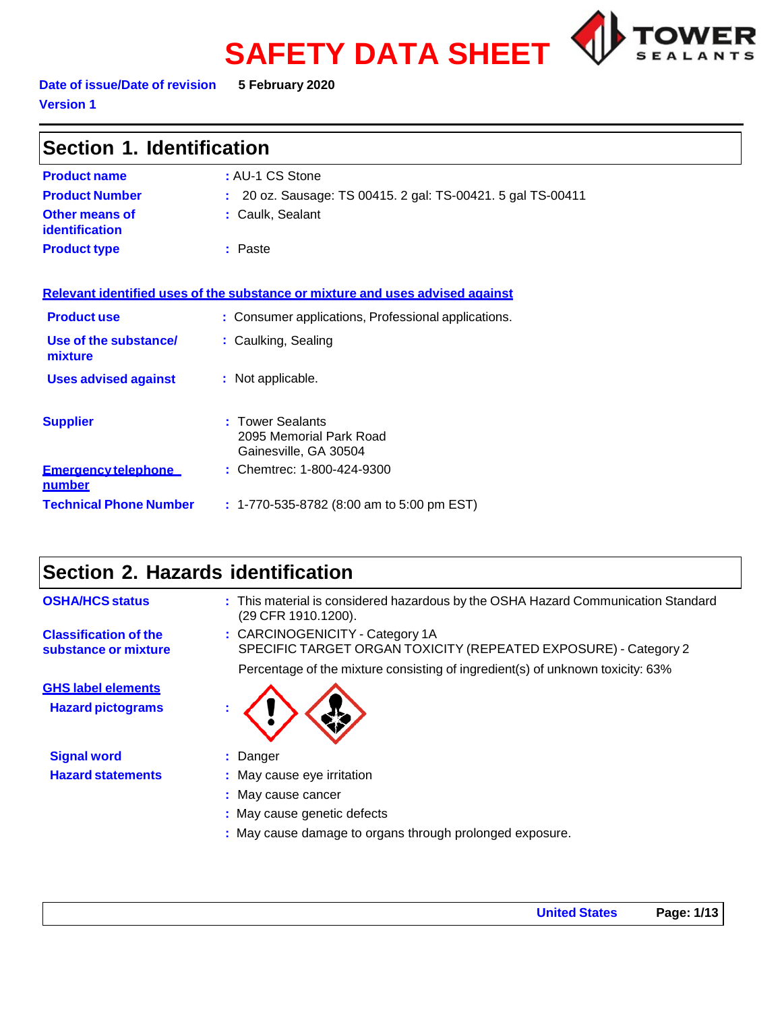# **SAFETY DATA SHEET**



**Date of issue/Date of revision 5 February 2020 Version 1**

| Section 1. Identification                   |                                                                               |  |
|---------------------------------------------|-------------------------------------------------------------------------------|--|
| <b>Product name</b>                         | : AU-1 CS Stone                                                               |  |
| <b>Product Number</b>                       | : 20 oz. Sausage: TS 00415. 2 gal: TS-00421. 5 gal TS-00411                   |  |
| <b>Other means of</b><br>identification     | : Caulk, Sealant                                                              |  |
| <b>Product type</b>                         | : Paste                                                                       |  |
|                                             | Relevant identified uses of the substance or mixture and uses advised against |  |
| <b>Product use</b>                          | : Consumer applications, Professional applications.                           |  |
| Use of the substance/<br>mixture            | : Caulking, Sealing                                                           |  |
| <b>Uses advised against</b>                 | : Not applicable.                                                             |  |
| <b>Supplier</b>                             | <b>Tower Sealants</b><br>2095 Memorial Park Road<br>Gainesville, GA 30504     |  |
| <b>Emergency telephone</b><br><u>number</u> | : Chemtrec: 1-800-424-9300                                                    |  |
| <b>Technical Phone Number</b>               | : 1-770-535-8782 (8:00 am to 5:00 pm EST)                                     |  |

# **Section 2. Hazards identification**

| <b>OSHA/HCS status</b>                               | : This material is considered hazardous by the OSHA Hazard Communication Standard<br>(29 CFR 1910.1200). |
|------------------------------------------------------|----------------------------------------------------------------------------------------------------------|
| <b>Classification of the</b><br>substance or mixture | : CARCINOGENICITY - Category 1A<br>SPECIFIC TARGET ORGAN TOXICITY (REPEATED EXPOSURE) - Category 2       |
|                                                      | Percentage of the mixture consisting of ingredient(s) of unknown toxicity: 63%                           |
| <b>GHS label elements</b>                            |                                                                                                          |
| <b>Hazard pictograms</b>                             |                                                                                                          |
| <b>Signal word</b>                                   | : Danger                                                                                                 |
| <b>Hazard statements</b>                             | : May cause eye irritation                                                                               |
|                                                      | : May cause cancer                                                                                       |
|                                                      | : May cause genetic defects                                                                              |
|                                                      | : May cause damage to organs through prolonged exposure.                                                 |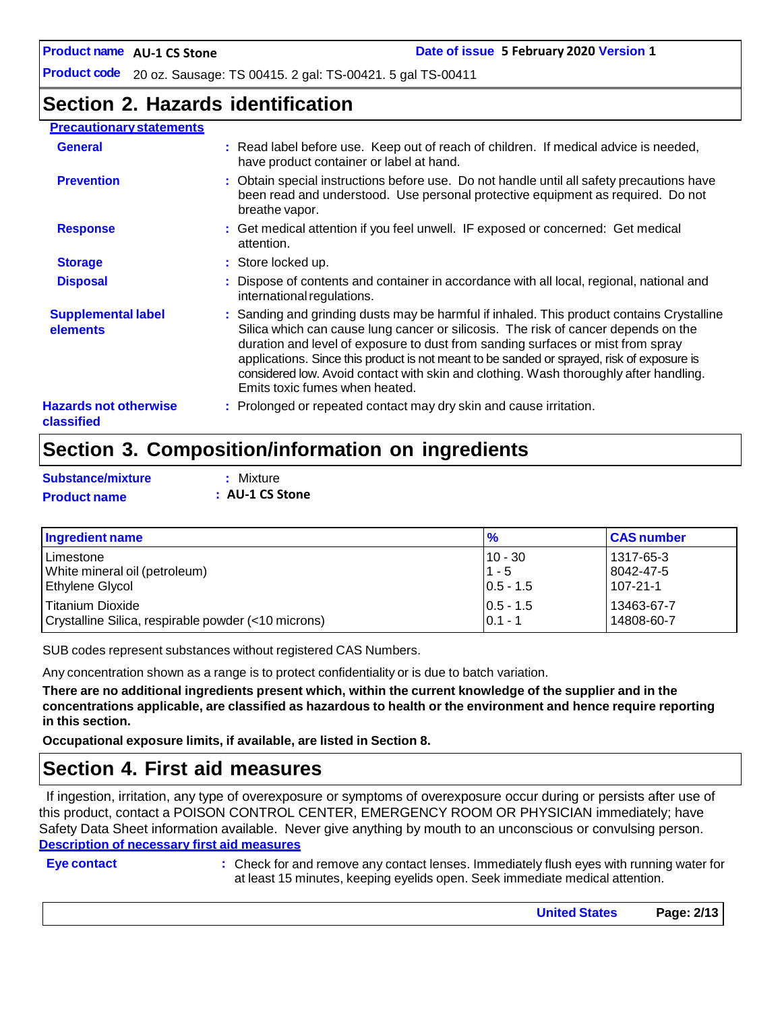## **Section 2. Hazards identification**

#### **Precautionary statements**

| <b>General</b>                             | : Read label before use. Keep out of reach of children. If medical advice is needed,<br>have product container or label at hand.                                                                                                                                                                                                                                                                                                                                                            |
|--------------------------------------------|---------------------------------------------------------------------------------------------------------------------------------------------------------------------------------------------------------------------------------------------------------------------------------------------------------------------------------------------------------------------------------------------------------------------------------------------------------------------------------------------|
| <b>Prevention</b>                          | : Obtain special instructions before use. Do not handle until all safety precautions have<br>been read and understood. Use personal protective equipment as required. Do not<br>breathe vapor.                                                                                                                                                                                                                                                                                              |
| <b>Response</b>                            | : Get medical attention if you feel unwell. IF exposed or concerned: Get medical<br>attention.                                                                                                                                                                                                                                                                                                                                                                                              |
| <b>Storage</b>                             | : Store locked up.                                                                                                                                                                                                                                                                                                                                                                                                                                                                          |
| <b>Disposal</b>                            | : Dispose of contents and container in accordance with all local, regional, national and<br>international regulations.                                                                                                                                                                                                                                                                                                                                                                      |
| <b>Supplemental label</b><br>elements      | : Sanding and grinding dusts may be harmful if inhaled. This product contains Crystalline<br>Silica which can cause lung cancer or silicosis. The risk of cancer depends on the<br>duration and level of exposure to dust from sanding surfaces or mist from spray<br>applications. Since this product is not meant to be sanded or sprayed, risk of exposure is<br>considered low. Avoid contact with skin and clothing. Wash thoroughly after handling.<br>Emits toxic fumes when heated. |
| <b>Hazards not otherwise</b><br>classified | : Prolonged or repeated contact may dry skin and cause irritation.                                                                                                                                                                                                                                                                                                                                                                                                                          |

## **Section 3. Composition/information on ingredients**

| Substance/mixture   | : Mixture       |
|---------------------|-----------------|
| <b>Product name</b> | : AU-1 CS Stone |

| Ingredient name                                     | $\frac{9}{6}$ | <b>CAS number</b> |
|-----------------------------------------------------|---------------|-------------------|
| l Limestone                                         | $10 - 30$     | 1317-65-3         |
| White mineral oil (petroleum)                       | $1 - 5$       | 8042-47-5         |
| <b>Ethylene Glycol</b>                              | $0.5 - 1.5$   | 107-21-1          |
| l Titanium Dioxide                                  | $ 0.5 - 1.5 $ | 13463-67-7        |
| Crystalline Silica, respirable powder (<10 microns) | $0.1 - 1$     | 14808-60-7        |

SUB codes represent substances without registered CAS Numbers.

Any concentration shown as a range is to protect confidentiality or is due to batch variation.

There are no additional ingredients present which, within the current knowledge of the supplier and in the **concentrations applicable, are classified as hazardous to health or the environment and hence require reporting in this section.**

**Occupational exposure limits, if available, are listed in Section 8.**

## **Section 4. First aid measures**

If ingestion, irritation, any type of overexposure or symptoms of overexposure occur during or persists after use of this product, contact a POISON CONTROL CENTER, EMERGENCY ROOM OR PHYSICIAN immediately; have Safety Data Sheet information available. Never give anything by mouth to an unconscious or convulsing person. **Description of necessary first aid measures**

**Eye contact :** Check for and remove any contact lenses. Immediately flush eyes with running water for at least 15 minutes, keeping eyelids open. Seek immediate medical attention.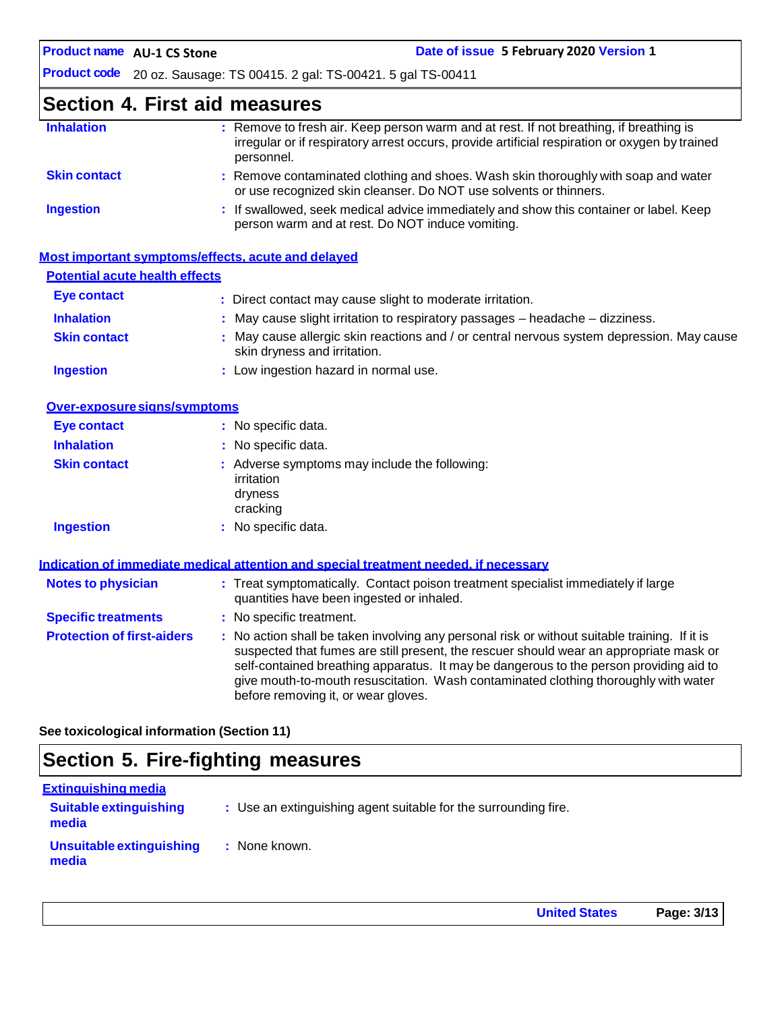## **Section 4. First aid measures**

| : Remove to fresh air. Keep person warm and at rest. If not breathing, if breathing is<br>irregular or if respiratory arrest occurs, provide artificial respiration or oxygen by trained<br>personnel. |
|--------------------------------------------------------------------------------------------------------------------------------------------------------------------------------------------------------|
| : Remove contaminated clothing and shoes. Wash skin thoroughly with soap and water<br>or use recognized skin cleanser. Do NOT use solvents or thinners.                                                |
| : If swallowed, seek medical advice immediately and show this container or label. Keep<br>person warm and at rest. Do NOT induce vomiting.                                                             |
|                                                                                                                                                                                                        |

|                                       | Most important symptoms/effects, acute and delayed                                                                        |
|---------------------------------------|---------------------------------------------------------------------------------------------------------------------------|
| <b>Potential acute health effects</b> |                                                                                                                           |
| Eye contact                           | : Direct contact may cause slight to moderate irritation.                                                                 |
| <b>Inhalation</b>                     | $\therefore$ May cause slight irritation to respiratory passages $-$ headache $-$ dizziness.                              |
| <b>Skin contact</b>                   | : May cause allergic skin reactions and / or central nervous system depression. May cause<br>skin dryness and irritation. |
| <b>Ingestion</b>                      | : Low ingestion hazard in normal use.                                                                                     |

| Over-exposure signs/symptoms |                                                                                    |
|------------------------------|------------------------------------------------------------------------------------|
| <b>Eye contact</b>           | : No specific data.                                                                |
| <b>Inhalation</b>            | : No specific data.                                                                |
| <b>Skin contact</b>          | : Adverse symptoms may include the following:<br>irritation<br>dryness<br>cracking |
| <b>Ingestion</b>             | : No specific data.                                                                |

|                                   | Indication of immediate medical attention and special treatment needed, if necessary                                                                                                                                                                                                                                                                                                                            |
|-----------------------------------|-----------------------------------------------------------------------------------------------------------------------------------------------------------------------------------------------------------------------------------------------------------------------------------------------------------------------------------------------------------------------------------------------------------------|
| <b>Notes to physician</b>         | : Treat symptomatically. Contact poison treatment specialist immediately if large<br>quantities have been ingested or inhaled.                                                                                                                                                                                                                                                                                  |
| <b>Specific treatments</b>        | : No specific treatment.                                                                                                                                                                                                                                                                                                                                                                                        |
| <b>Protection of first-aiders</b> | : No action shall be taken involving any personal risk or without suitable training. If it is<br>suspected that fumes are still present, the rescuer should wear an appropriate mask or<br>self-contained breathing apparatus. It may be dangerous to the person providing aid to<br>give mouth-to-mouth resuscitation. Wash contaminated clothing thoroughly with water<br>before removing it, or wear gloves. |

**See toxicological information (Section 11)**

# **Section 5. Fire-fighting measures**

| <b>Extinguishing media</b>             |                                                                 |
|----------------------------------------|-----------------------------------------------------------------|
| <b>Suitable extinguishing</b><br>media | : Use an extinguishing agent suitable for the surrounding fire. |
| Unsuitable extinguishing<br>media      | : None known.                                                   |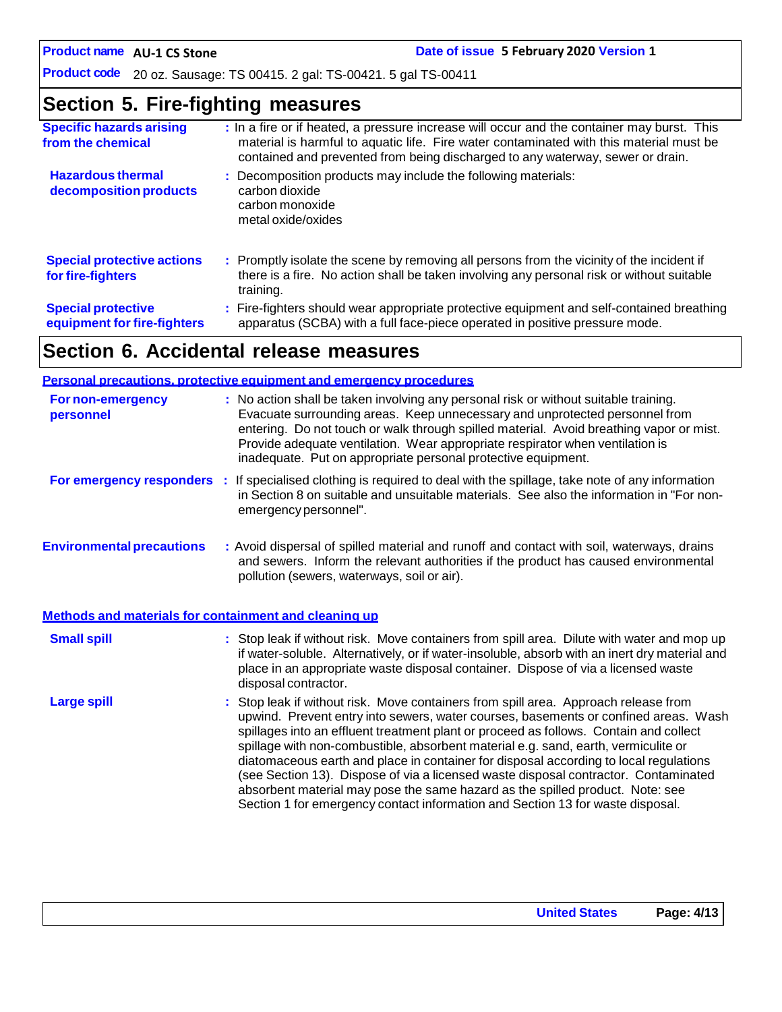## **Section 5. Fire-fighting measures**

| <b>Specific hazards arising</b><br>from the chemical     | : In a fire or if heated, a pressure increase will occur and the container may burst. This<br>material is harmful to aquatic life. Fire water contaminated with this material must be<br>contained and prevented from being discharged to any waterway, sewer or drain. |
|----------------------------------------------------------|-------------------------------------------------------------------------------------------------------------------------------------------------------------------------------------------------------------------------------------------------------------------------|
| <b>Hazardous thermal</b><br>decomposition products       | : Decomposition products may include the following materials:<br>carbon dioxide<br>carbon monoxide<br>metal oxide/oxides                                                                                                                                                |
| <b>Special protective actions</b><br>for fire-fighters   | : Promptly isolate the scene by removing all persons from the vicinity of the incident if<br>there is a fire. No action shall be taken involving any personal risk or without suitable<br>training.                                                                     |
| <b>Special protective</b><br>equipment for fire-fighters | : Fire-fighters should wear appropriate protective equipment and self-contained breathing<br>apparatus (SCBA) with a full face-piece operated in positive pressure mode.                                                                                                |

# **Section 6. Accidental release measures**

| <b>Personal precautions, protective equipment and emergency procedures</b> |                                                                                                                                                                                                                                                                                                                                                                                                                                                                                                                                                                                                                                                                                                              |  |
|----------------------------------------------------------------------------|--------------------------------------------------------------------------------------------------------------------------------------------------------------------------------------------------------------------------------------------------------------------------------------------------------------------------------------------------------------------------------------------------------------------------------------------------------------------------------------------------------------------------------------------------------------------------------------------------------------------------------------------------------------------------------------------------------------|--|
| For non-emergency<br>personnel                                             | : No action shall be taken involving any personal risk or without suitable training.<br>Evacuate surrounding areas. Keep unnecessary and unprotected personnel from<br>entering. Do not touch or walk through spilled material. Avoid breathing vapor or mist.<br>Provide adequate ventilation. Wear appropriate respirator when ventilation is<br>inadequate. Put on appropriate personal protective equipment.                                                                                                                                                                                                                                                                                             |  |
|                                                                            | For emergency responders : If specialised clothing is required to deal with the spillage, take note of any information<br>in Section 8 on suitable and unsuitable materials. See also the information in "For non-<br>emergency personnel".                                                                                                                                                                                                                                                                                                                                                                                                                                                                  |  |
| <b>Environmental precautions</b>                                           | : Avoid dispersal of spilled material and runoff and contact with soil, waterways, drains<br>and sewers. Inform the relevant authorities if the product has caused environmental<br>pollution (sewers, waterways, soil or air).                                                                                                                                                                                                                                                                                                                                                                                                                                                                              |  |
| Methods and materials for containment and cleaning up                      |                                                                                                                                                                                                                                                                                                                                                                                                                                                                                                                                                                                                                                                                                                              |  |
| <b>Small spill</b>                                                         | : Stop leak if without risk. Move containers from spill area. Dilute with water and mop up<br>if water-soluble. Alternatively, or if water-insoluble, absorb with an inert dry material and<br>place in an appropriate waste disposal container. Dispose of via a licensed waste<br>disposal contractor.                                                                                                                                                                                                                                                                                                                                                                                                     |  |
| <b>Large spill</b>                                                         | : Stop leak if without risk. Move containers from spill area. Approach release from<br>upwind. Prevent entry into sewers, water courses, basements or confined areas. Wash<br>spillages into an effluent treatment plant or proceed as follows. Contain and collect<br>spillage with non-combustible, absorbent material e.g. sand, earth, vermiculite or<br>diatomaceous earth and place in container for disposal according to local regulations<br>(see Section 13). Dispose of via a licensed waste disposal contractor. Contaminated<br>absorbent material may pose the same hazard as the spilled product. Note: see<br>Section 1 for emergency contact information and Section 13 for waste disposal. |  |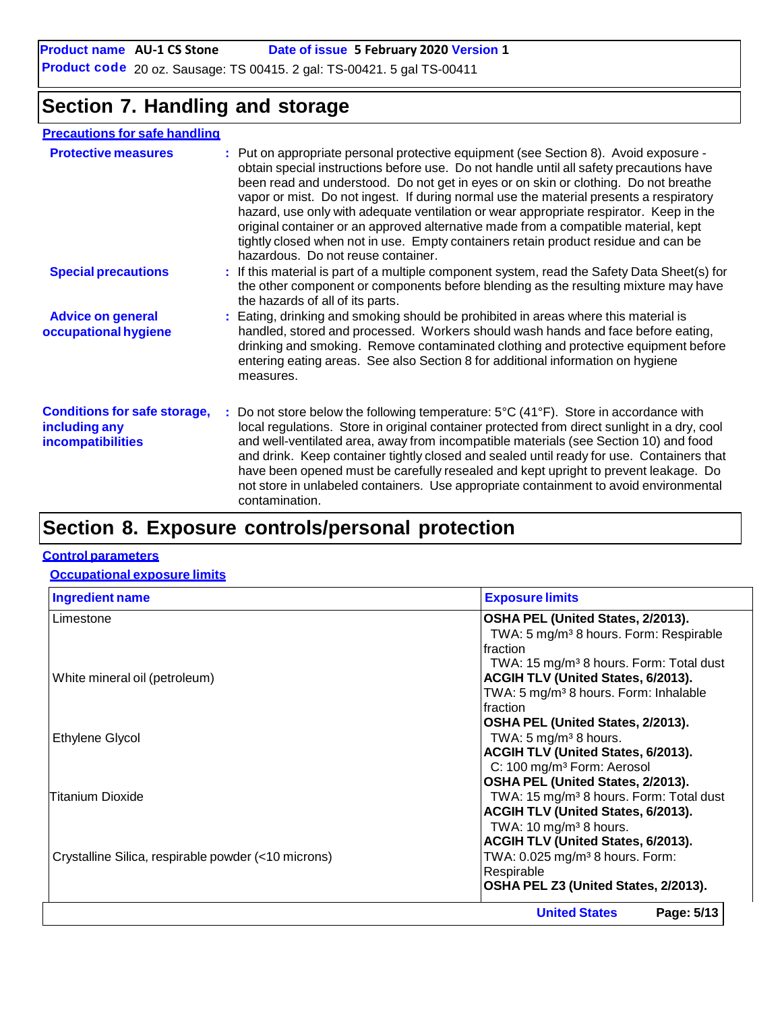# **Section 7. Handling and storage**

### **Precautions for safe handling**

| <b>Protective measures</b>                                                       | : Put on appropriate personal protective equipment (see Section 8). Avoid exposure -<br>obtain special instructions before use. Do not handle until all safety precautions have<br>been read and understood. Do not get in eyes or on skin or clothing. Do not breathe<br>vapor or mist. Do not ingest. If during normal use the material presents a respiratory<br>hazard, use only with adequate ventilation or wear appropriate respirator. Keep in the<br>original container or an approved alternative made from a compatible material, kept<br>tightly closed when not in use. Empty containers retain product residue and can be<br>hazardous. Do not reuse container. |
|----------------------------------------------------------------------------------|-------------------------------------------------------------------------------------------------------------------------------------------------------------------------------------------------------------------------------------------------------------------------------------------------------------------------------------------------------------------------------------------------------------------------------------------------------------------------------------------------------------------------------------------------------------------------------------------------------------------------------------------------------------------------------|
| <b>Special precautions</b>                                                       | : If this material is part of a multiple component system, read the Safety Data Sheet(s) for<br>the other component or components before blending as the resulting mixture may have<br>the hazards of all of its parts.                                                                                                                                                                                                                                                                                                                                                                                                                                                       |
| <b>Advice on general</b><br>occupational hygiene                                 | : Eating, drinking and smoking should be prohibited in areas where this material is<br>handled, stored and processed. Workers should wash hands and face before eating,<br>drinking and smoking. Remove contaminated clothing and protective equipment before<br>entering eating areas. See also Section 8 for additional information on hygiene<br>measures.                                                                                                                                                                                                                                                                                                                 |
| <b>Conditions for safe storage,</b><br>including any<br><b>incompatibilities</b> | : Do not store below the following temperature: $5^{\circ}C(41^{\circ}F)$ . Store in accordance with<br>local regulations. Store in original container protected from direct sunlight in a dry, cool<br>and well-ventilated area, away from incompatible materials (see Section 10) and food<br>and drink. Keep container tightly closed and sealed until ready for use. Containers that<br>have been opened must be carefully resealed and kept upright to prevent leakage. Do<br>not store in unlabeled containers. Use appropriate containment to avoid environmental<br>contamination.                                                                                    |
|                                                                                  |                                                                                                                                                                                                                                                                                                                                                                                                                                                                                                                                                                                                                                                                               |

# **Section 8. Exposure controls/personal protection**

#### **Control parameters**

#### **Occupational exposure limits**

| <b>Ingredient name</b>                              | <b>Exposure limits</b>                              |
|-----------------------------------------------------|-----------------------------------------------------|
| Limestone                                           | OSHA PEL (United States, 2/2013).                   |
|                                                     | TWA: 5 mg/m <sup>3</sup> 8 hours. Form: Respirable  |
|                                                     | Ifraction                                           |
|                                                     | TWA: 15 mg/m <sup>3</sup> 8 hours. Form: Total dust |
| White mineral oil (petroleum)                       | <b>ACGIH TLV (United States, 6/2013).</b>           |
|                                                     | TWA: 5 mg/m <sup>3</sup> 8 hours. Form: Inhalable   |
|                                                     | Ifraction                                           |
|                                                     | OSHA PEL (United States, 2/2013).                   |
| <b>Ethylene Glycol</b>                              | TWA: $5 \text{ mg/m}^3$ 8 hours.                    |
|                                                     | ACGIH TLV (United States, 6/2013).                  |
|                                                     | C: 100 mg/m <sup>3</sup> Form: Aerosol              |
|                                                     | OSHA PEL (United States, 2/2013).                   |
| Titanium Dioxide                                    | TWA: 15 mg/m <sup>3</sup> 8 hours. Form: Total dust |
|                                                     | ACGIH TLV (United States, 6/2013).                  |
|                                                     | TWA: $10 \text{ mg/m}^3$ 8 hours.                   |
|                                                     | ACGIH TLV (United States, 6/2013).                  |
| Crystalline Silica, respirable powder (<10 microns) | TWA: 0.025 mg/m <sup>3</sup> 8 hours. Form:         |
|                                                     | Respirable                                          |
|                                                     | OSHA PEL Z3 (United States, 2/2013).                |
|                                                     | Page: 5/13<br><b>United States</b>                  |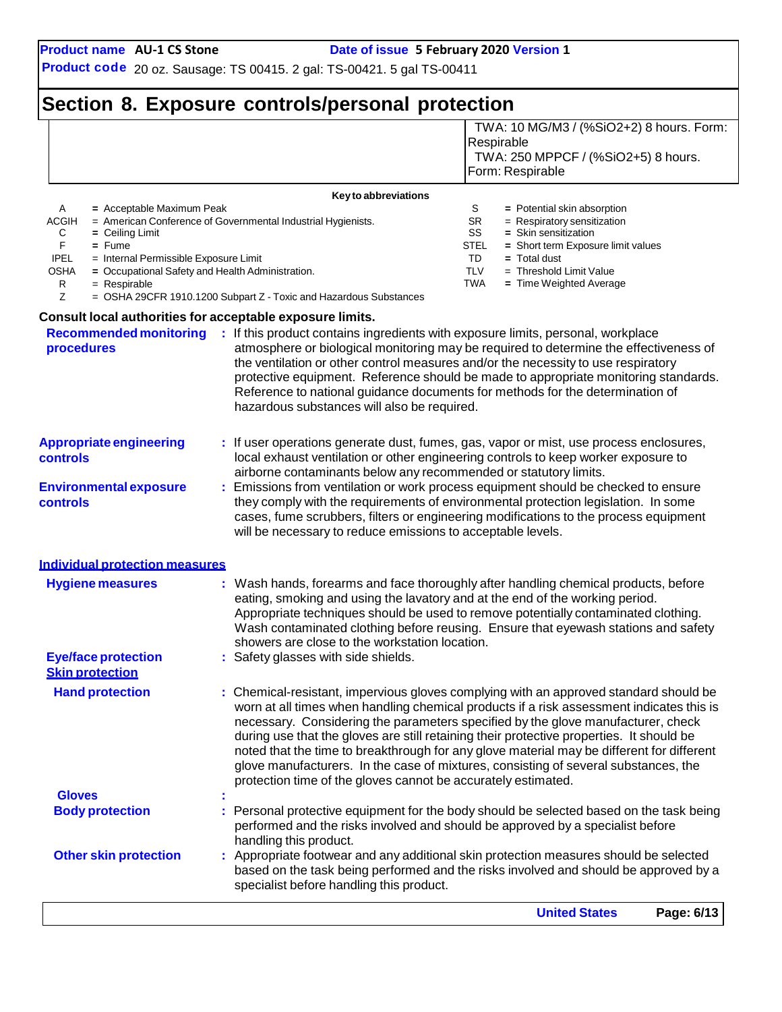**Gloves :**

**Product code** 20 oz. Sausage: TS 00415. 2 gal: TS-00421. 5 gal TS-00411

## **Section 8. Exposure controls/personal protection**

|                                                  |                                                      |                                                                                                                                                                                                                                                                                                                              |                 | TWA: 10 MG/M3 / (%SiO2+2) 8 hours. Form:                                                                                                                                                                                                                                                                                                                                                                                                                                                                                                              |  |  |
|--------------------------------------------------|------------------------------------------------------|------------------------------------------------------------------------------------------------------------------------------------------------------------------------------------------------------------------------------------------------------------------------------------------------------------------------------|-----------------|-------------------------------------------------------------------------------------------------------------------------------------------------------------------------------------------------------------------------------------------------------------------------------------------------------------------------------------------------------------------------------------------------------------------------------------------------------------------------------------------------------------------------------------------------------|--|--|
|                                                  |                                                      |                                                                                                                                                                                                                                                                                                                              |                 | Respirable                                                                                                                                                                                                                                                                                                                                                                                                                                                                                                                                            |  |  |
|                                                  |                                                      |                                                                                                                                                                                                                                                                                                                              |                 | TWA: 250 MPPCF / (%SiO2+5) 8 hours.                                                                                                                                                                                                                                                                                                                                                                                                                                                                                                                   |  |  |
|                                                  |                                                      |                                                                                                                                                                                                                                                                                                                              |                 | Form: Respirable                                                                                                                                                                                                                                                                                                                                                                                                                                                                                                                                      |  |  |
|                                                  |                                                      | Key to abbreviations                                                                                                                                                                                                                                                                                                         |                 |                                                                                                                                                                                                                                                                                                                                                                                                                                                                                                                                                       |  |  |
| A                                                | = Acceptable Maximum Peak                            |                                                                                                                                                                                                                                                                                                                              | S               | = Potential skin absorption                                                                                                                                                                                                                                                                                                                                                                                                                                                                                                                           |  |  |
| <b>ACGIH</b><br>С                                | $=$ Ceiling Limit                                    | = American Conference of Governmental Industrial Hygienists.                                                                                                                                                                                                                                                                 | <b>SR</b><br>SS | $=$ Respiratory sensitization<br>= Skin sensitization                                                                                                                                                                                                                                                                                                                                                                                                                                                                                                 |  |  |
| F                                                | $=$ Fume                                             |                                                                                                                                                                                                                                                                                                                              | STEL            | = Short term Exposure limit values                                                                                                                                                                                                                                                                                                                                                                                                                                                                                                                    |  |  |
| <b>IPEL</b>                                      | = Internal Permissible Exposure Limit                |                                                                                                                                                                                                                                                                                                                              | TD              | = Total dust                                                                                                                                                                                                                                                                                                                                                                                                                                                                                                                                          |  |  |
| OSHA                                             | = Occupational Safety and Health Administration.     |                                                                                                                                                                                                                                                                                                                              | <b>TLV</b>      | $=$ Threshold Limit Value                                                                                                                                                                                                                                                                                                                                                                                                                                                                                                                             |  |  |
| R<br>Z                                           | $=$ Respirable                                       | = OSHA 29CFR 1910.1200 Subpart Z - Toxic and Hazardous Substances                                                                                                                                                                                                                                                            | TWA             | = Time Weighted Average                                                                                                                                                                                                                                                                                                                                                                                                                                                                                                                               |  |  |
|                                                  |                                                      |                                                                                                                                                                                                                                                                                                                              |                 |                                                                                                                                                                                                                                                                                                                                                                                                                                                                                                                                                       |  |  |
|                                                  |                                                      | Consult local authorities for acceptable exposure limits.                                                                                                                                                                                                                                                                    |                 |                                                                                                                                                                                                                                                                                                                                                                                                                                                                                                                                                       |  |  |
| procedures                                       |                                                      | Recommended monitoring : If this product contains ingredients with exposure limits, personal, workplace<br>the ventilation or other control measures and/or the necessity to use respiratory<br>Reference to national guidance documents for methods for the determination of<br>hazardous substances will also be required. |                 | atmosphere or biological monitoring may be required to determine the effectiveness of<br>protective equipment. Reference should be made to appropriate monitoring standards.                                                                                                                                                                                                                                                                                                                                                                          |  |  |
| <b>Appropriate engineering</b><br>controls       |                                                      | : If user operations generate dust, fumes, gas, vapor or mist, use process enclosures,<br>local exhaust ventilation or other engineering controls to keep worker exposure to<br>airborne contaminants below any recommended or statutory limits.                                                                             |                 |                                                                                                                                                                                                                                                                                                                                                                                                                                                                                                                                                       |  |  |
| <b>Environmental exposure</b><br><b>controls</b> |                                                      | will be necessary to reduce emissions to acceptable levels.                                                                                                                                                                                                                                                                  |                 | Emissions from ventilation or work process equipment should be checked to ensure<br>they comply with the requirements of environmental protection legislation. In some<br>cases, fume scrubbers, filters or engineering modifications to the process equipment                                                                                                                                                                                                                                                                                        |  |  |
|                                                  | <b>Individual protection measures</b>                |                                                                                                                                                                                                                                                                                                                              |                 |                                                                                                                                                                                                                                                                                                                                                                                                                                                                                                                                                       |  |  |
|                                                  | <b>Hygiene measures</b>                              | eating, smoking and using the lavatory and at the end of the working period.<br>showers are close to the workstation location.                                                                                                                                                                                               |                 | : Wash hands, forearms and face thoroughly after handling chemical products, before<br>Appropriate techniques should be used to remove potentially contaminated clothing.<br>Wash contaminated clothing before reusing. Ensure that eyewash stations and safety                                                                                                                                                                                                                                                                                       |  |  |
|                                                  | <b>Eye/face protection</b><br><b>Skin protection</b> | Safety glasses with side shields.                                                                                                                                                                                                                                                                                            |                 |                                                                                                                                                                                                                                                                                                                                                                                                                                                                                                                                                       |  |  |
|                                                  | <b>Hand protection</b>                               | protection time of the gloves cannot be accurately estimated.                                                                                                                                                                                                                                                                |                 | : Chemical-resistant, impervious gloves complying with an approved standard should be<br>worn at all times when handling chemical products if a risk assessment indicates this is<br>necessary. Considering the parameters specified by the glove manufacturer, check<br>during use that the gloves are still retaining their protective properties. It should be<br>noted that the time to breakthrough for any glove material may be different for different<br>glove manufacturers. In the case of mixtures, consisting of several substances, the |  |  |

**Body protection <b>:** Personal protective equipment for the body should be selected based on the task being performed and the risks involved and should be approved by a specialist before handling this product. **Other skin protection :** Appropriate footwear and any additional skin protection measures should be selected based on the task being performed and the risks involved and should be approved by a specialist before handling this product.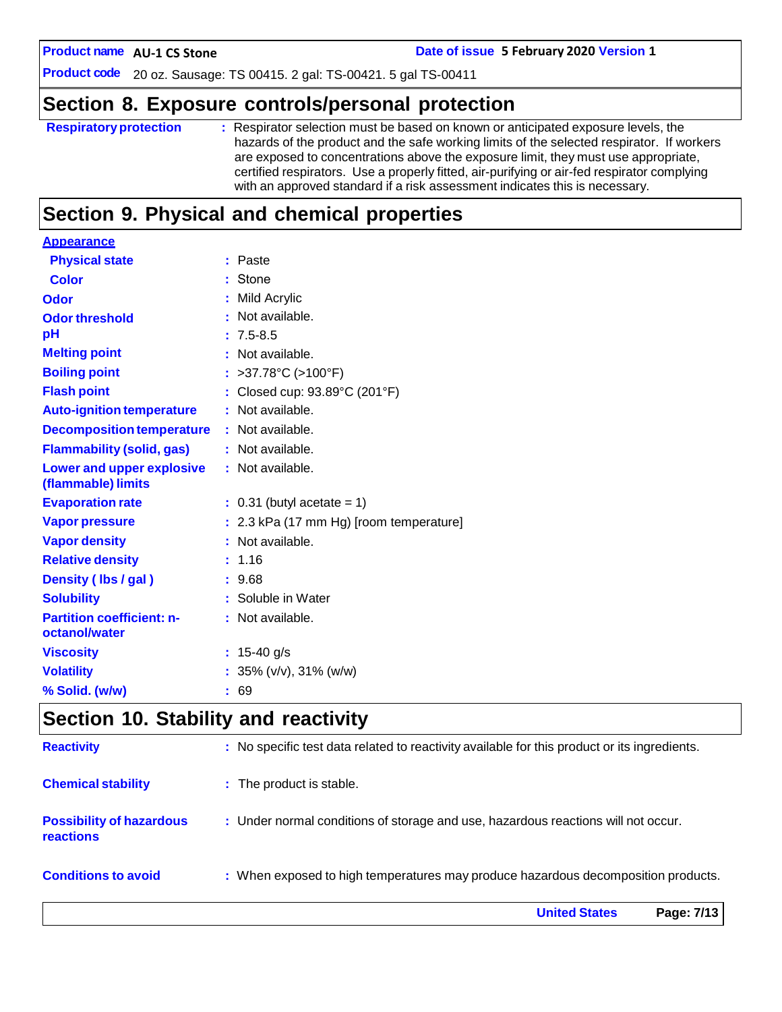**AU-1 CS Stone Date of issue 5 February 2020 Version 1**

**Product code** 20 oz. Sausage: TS 00415. 2 gal: TS-00421. 5 gal TS-00411

## **Section 8. Exposure controls/personal protection**

| <b>Respiratory protection</b> | : Respirator selection must be based on known or anticipated exposure levels, the<br>hazards of the product and the safe working limits of the selected respirator. If workers<br>are exposed to concentrations above the exposure limit, they must use appropriate,<br>certified respirators. Use a properly fitted, air-purifying or air-fed respirator complying<br>with an approved standard if a risk assessment indicates this is necessary. |
|-------------------------------|----------------------------------------------------------------------------------------------------------------------------------------------------------------------------------------------------------------------------------------------------------------------------------------------------------------------------------------------------------------------------------------------------------------------------------------------------|
|                               |                                                                                                                                                                                                                                                                                                                                                                                                                                                    |

# **Section 9. Physical and chemical properties**

| <b>Appearance</b>                                      |                                         |
|--------------------------------------------------------|-----------------------------------------|
| <b>Physical state</b>                                  | : Paste                                 |
| <b>Color</b>                                           | : Stone                                 |
| Odor                                                   | : Mild Acrylic                          |
| <b>Odor threshold</b>                                  | : Not available.                        |
| pH                                                     | $: 7.5 - 8.5$                           |
| <b>Melting point</b>                                   | : Not available.                        |
| <b>Boiling point</b>                                   | : >37.78°C (>100°F)                     |
| <b>Flash point</b>                                     | : Closed cup: 93.89°C (201°F)           |
| <b>Auto-ignition temperature</b>                       | : Not available.                        |
| <b>Decomposition temperature</b>                       | : Not available.                        |
| <b>Flammability (solid, gas)</b>                       | : Not available.                        |
| <b>Lower and upper explosive</b><br>(flammable) limits | : Not available.                        |
| <b>Evaporation rate</b>                                | $: 0.31$ (butyl acetate = 1)            |
| <b>Vapor pressure</b>                                  | : 2.3 kPa (17 mm Hg) [room temperature] |
| <b>Vapor density</b>                                   | : Not available.                        |
| <b>Relative density</b>                                | : 1.16                                  |
| Density (Ibs / gal)                                    | : 9.68                                  |
| <b>Solubility</b>                                      | : Soluble in Water                      |
| <b>Partition coefficient: n-</b>                       | : Not available.                        |
| octanol/water                                          |                                         |
| <b>Viscosity</b>                                       | : $15-40$ g/s                           |
| <b>Volatility</b>                                      | : $35\%$ (v/v), $31\%$ (w/w)            |
| % Solid. (w/w)                                         | : 69                                    |
|                                                        |                                         |

## **Section 10. Stability and reactivity**

|                                                     | <b>United States</b><br>Page: 7/13                                                           |
|-----------------------------------------------------|----------------------------------------------------------------------------------------------|
| <b>Conditions to avoid</b>                          | : When exposed to high temperatures may produce hazardous decomposition products.            |
| <b>Possibility of hazardous</b><br><b>reactions</b> | : Under normal conditions of storage and use, hazardous reactions will not occur.            |
| <b>Chemical stability</b>                           | : The product is stable.                                                                     |
| <b>Reactivity</b>                                   | : No specific test data related to reactivity available for this product or its ingredients. |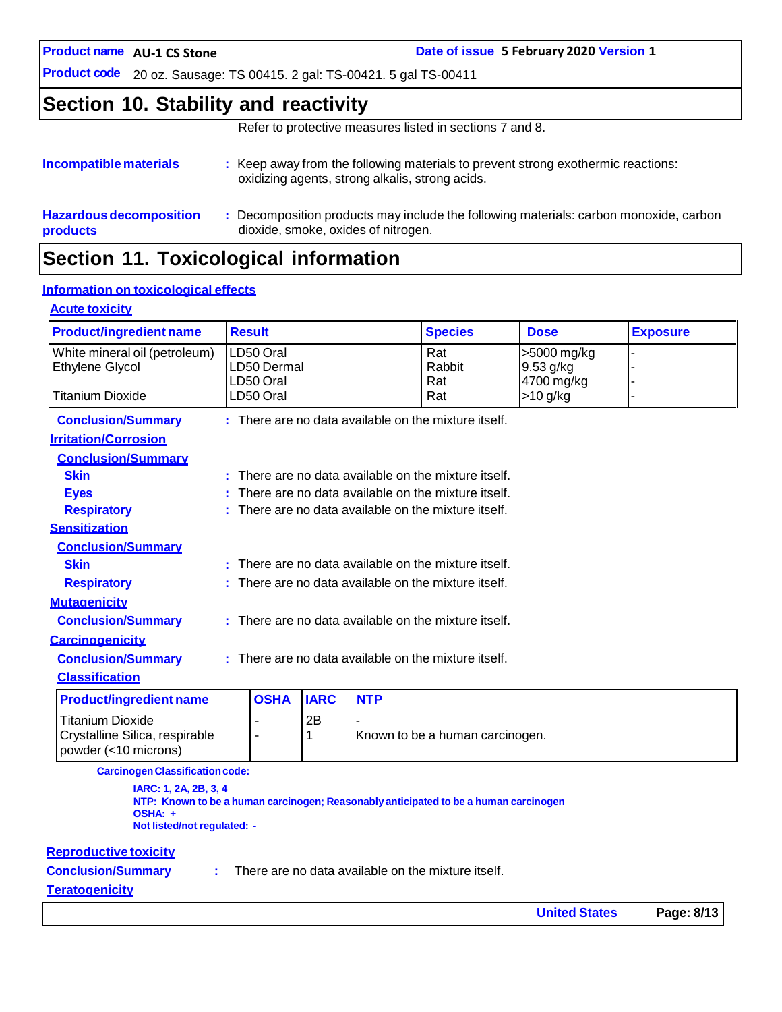**AU-1 CS Stone Date of issue 5 February 2020 Version 1**

**Product code** 20 oz. Sausage: TS 00415. 2 gal: TS-00421. 5 gal TS-00411

## **Section 10. Stability and reactivity**

Refer to protective measures listed in sections 7 and 8.

| Incompatible materials         | : Keep away from the following materials to prevent strong exothermic reactions:<br>oxidizing agents, strong alkalis, strong acids. |
|--------------------------------|-------------------------------------------------------------------------------------------------------------------------------------|
| <b>Hazardous decomposition</b> | Decomposition products may include the following materials: carbon monoxide, carbon                                                 |
| products                       | dioxide, smoke, oxides of nitrogen.                                                                                                 |

## **Section 11. Toxicological information**

#### **Information on toxicological effects**

#### **Acute toxicity Product/ingredient name Result Species Dose Exposure** White mineral oil (petroleum) LD50 Oral Rat >5000 mg/kg - Ethylene Glycol **LD50 Dermal** Rabbit 9.53 g/kg LD50 Oral Rat Rat 4700 mg/kg Titanium Dioxide | LD50 Oral | Rat | >10 g/kg **Conclusion/Summary : Irritation/Corrosion Conclusion/Summary** There are no data available on the mixture itself. There are no data available on the mixture itself. There are no data available on the mixture itself. There are no data available on the mixture itself.

**Respiratory : Sensitization Conclusion/Summary Skin : Respiratory : Mutagenicity Conclusion/Summary : Carcinogenicity Conclusion/Summary : Classification** There are no data available on the mixture itself. There are no data available on the mixture itself. There are no data available on the mixture itself. There are no data available on the mixture itself.

| <b>Product/ingredient name</b>                       | <b>OSHA IARC</b> |    | <b>NTP</b>                      |
|------------------------------------------------------|------------------|----|---------------------------------|
| l Titanium Dioxide<br>Crystalline Silica, respirable |                  | 2B | Known to be a human carcinogen. |
| $ $ powder $(<$ 10 microns)                          |                  |    |                                 |

**CarcinogenClassificationcode:**

**IARC: 1, 2A, 2B, 3, 4 NTP: Known to be a human carcinogen; Reasonably anticipated to be a human carcinogen OSHA: + Not listed/not regulated: -**

#### **Reproductive toxicity**

**Conclusion/Summary :**

There are no data available on the mixture itself.

#### **Teratogenicity**

**Skin : Eyes :**

**United States Page: 8/13**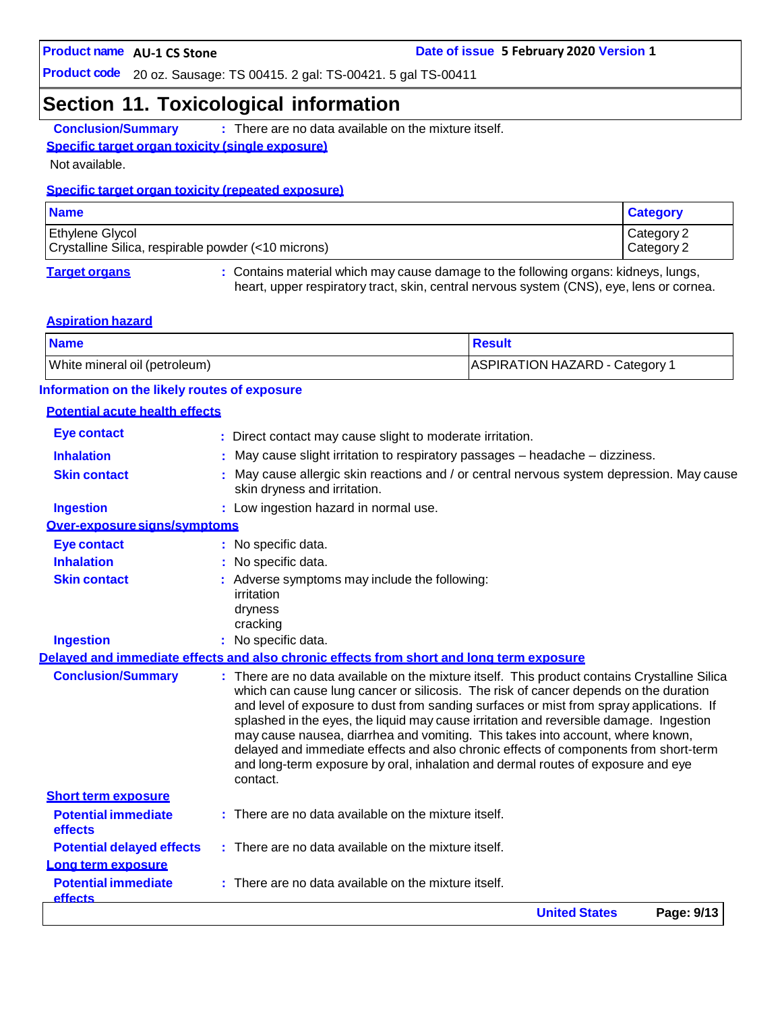## **Section 11. Toxicological information**

**Conclusion/Summary :** There are no data available on the mixture itself.

#### **Specific target organ toxicity (single exposure)**

Not available.

#### **Specific target organ toxicity (repeated exposure)**

| <b>Name</b>                                                                   | <b>Category</b>          |
|-------------------------------------------------------------------------------|--------------------------|
| <b>Ethylene Glycol</b><br>Crystalline Silica, respirable powder (<10 microns) | Category 2<br>Category 2 |
|                                                                               |                          |

**Target organs :** Contains material which may cause damage to the following organs: kidneys, lungs, heart, upper respiratory tract, skin, central nervous system (CNS), eye, lens or cornea.

#### **Aspiration hazard**

| <b>Name</b>                   | <b>Result</b>                  |
|-------------------------------|--------------------------------|
| White mineral oil (petroleum) | ASPIRATION HAZARD - Category 1 |

#### **Information on the likely routes of exposure**

#### **Potential acute health effects**

|                                              | <b>United States</b><br>Page: 9/13                                                                                                                                                                                                                                                                                                                                                                                                                                                                                                                                                                                                       |
|----------------------------------------------|------------------------------------------------------------------------------------------------------------------------------------------------------------------------------------------------------------------------------------------------------------------------------------------------------------------------------------------------------------------------------------------------------------------------------------------------------------------------------------------------------------------------------------------------------------------------------------------------------------------------------------------|
| <b>Potential immediate</b><br><b>effects</b> | There are no data available on the mixture itself.                                                                                                                                                                                                                                                                                                                                                                                                                                                                                                                                                                                       |
| Long term exposure                           |                                                                                                                                                                                                                                                                                                                                                                                                                                                                                                                                                                                                                                          |
| <b>Potential delayed effects</b>             | : There are no data available on the mixture itself.                                                                                                                                                                                                                                                                                                                                                                                                                                                                                                                                                                                     |
| effects                                      |                                                                                                                                                                                                                                                                                                                                                                                                                                                                                                                                                                                                                                          |
| <b>Potential immediate</b>                   | $:$ There are no data available on the mixture itself.                                                                                                                                                                                                                                                                                                                                                                                                                                                                                                                                                                                   |
| <b>Short term exposure</b>                   | contact.                                                                                                                                                                                                                                                                                                                                                                                                                                                                                                                                                                                                                                 |
| <b>Conclusion/Summary</b>                    | : There are no data available on the mixture itself. This product contains Crystalline Silica<br>which can cause lung cancer or silicosis. The risk of cancer depends on the duration<br>and level of exposure to dust from sanding surfaces or mist from spray applications. If<br>splashed in the eyes, the liquid may cause irritation and reversible damage. Ingestion<br>may cause nausea, diarrhea and vomiting. This takes into account, where known,<br>delayed and immediate effects and also chronic effects of components from short-term<br>and long-term exposure by oral, inhalation and dermal routes of exposure and eye |
|                                              | Delaved and immediate effects and also chronic effects from short and long term exposure                                                                                                                                                                                                                                                                                                                                                                                                                                                                                                                                                 |
| <b>Ingestion</b>                             | : No specific data.                                                                                                                                                                                                                                                                                                                                                                                                                                                                                                                                                                                                                      |
|                                              | irritation<br>dryness<br>cracking                                                                                                                                                                                                                                                                                                                                                                                                                                                                                                                                                                                                        |
| <b>Skin contact</b>                          | : Adverse symptoms may include the following:                                                                                                                                                                                                                                                                                                                                                                                                                                                                                                                                                                                            |
| <b>Inhalation</b>                            | No specific data.                                                                                                                                                                                                                                                                                                                                                                                                                                                                                                                                                                                                                        |
| <b>Eye contact</b>                           | : No specific data.                                                                                                                                                                                                                                                                                                                                                                                                                                                                                                                                                                                                                      |
| Over-exposure signs/symptoms                 |                                                                                                                                                                                                                                                                                                                                                                                                                                                                                                                                                                                                                                          |
| <b>Ingestion</b>                             | : Low ingestion hazard in normal use.                                                                                                                                                                                                                                                                                                                                                                                                                                                                                                                                                                                                    |
| <b>Skin contact</b>                          | May cause allergic skin reactions and / or central nervous system depression. May cause<br>skin dryness and irritation.                                                                                                                                                                                                                                                                                                                                                                                                                                                                                                                  |
| <b>Inhalation</b>                            | May cause slight irritation to respiratory passages - headache - dizziness.                                                                                                                                                                                                                                                                                                                                                                                                                                                                                                                                                              |
| <b>Eye contact</b>                           | : Direct contact may cause slight to moderate irritation.                                                                                                                                                                                                                                                                                                                                                                                                                                                                                                                                                                                |
|                                              |                                                                                                                                                                                                                                                                                                                                                                                                                                                                                                                                                                                                                                          |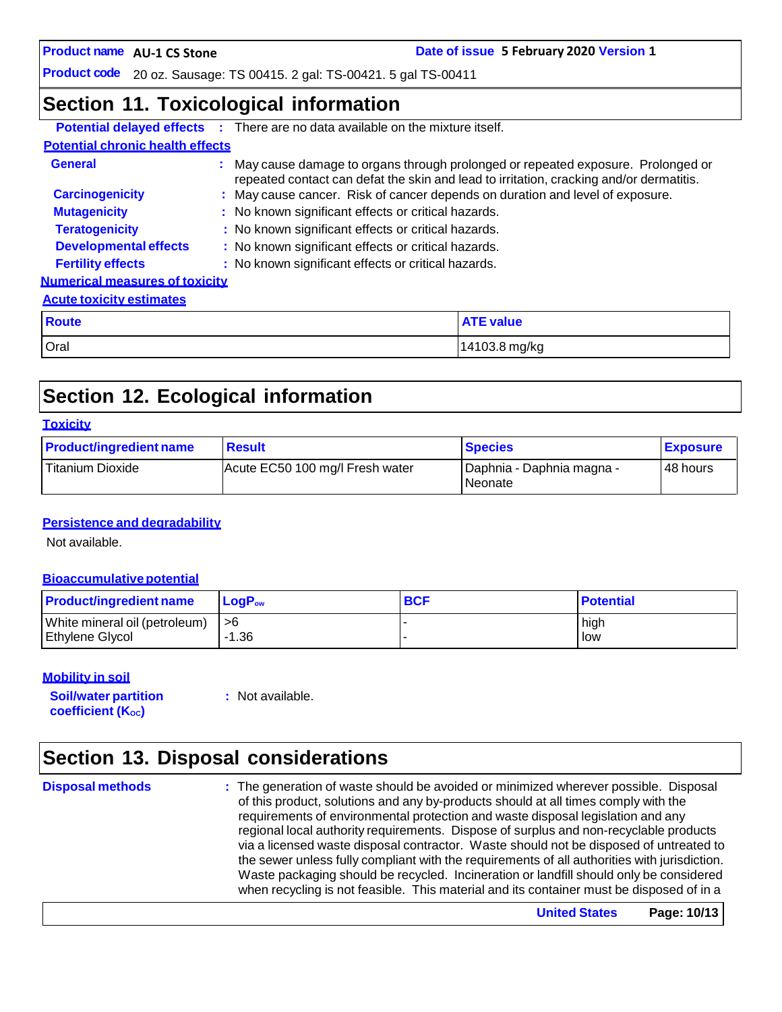**AU-1 CS Stone Date of issue 5 February 2020 Version 1**

**Product code** 20 oz. Sausage: TS 00415. 2 gal: TS-00421. 5 gal TS-00411

## **Section 11. Toxicological information**

|                                         | <b>Potential delayed effects</b> : There are no data available on the mixture itself.                                                                                        |                  |  |
|-----------------------------------------|------------------------------------------------------------------------------------------------------------------------------------------------------------------------------|------------------|--|
| <b>Potential chronic health effects</b> |                                                                                                                                                                              |                  |  |
| General                                 | : May cause damage to organs through prolonged or repeated exposure. Prolonged or<br>repeated contact can defat the skin and lead to irritation, cracking and/or dermatitis. |                  |  |
| <b>Carcinogenicity</b>                  | : May cause cancer. Risk of cancer depends on duration and level of exposure.                                                                                                |                  |  |
| <b>Mutagenicity</b>                     | : No known significant effects or critical hazards.                                                                                                                          |                  |  |
| <b>Teratogenicity</b>                   | : No known significant effects or critical hazards.                                                                                                                          |                  |  |
| <b>Developmental effects</b>            | : No known significant effects or critical hazards.                                                                                                                          |                  |  |
| <b>Fertility effects</b>                | : No known significant effects or critical hazards.                                                                                                                          |                  |  |
| <b>Numerical measures of toxicity</b>   |                                                                                                                                                                              |                  |  |
| <b>Acute toxicity estimates</b>         |                                                                                                                                                                              |                  |  |
| <b>Route</b>                            |                                                                                                                                                                              | <b>ATE value</b> |  |
| Oral                                    |                                                                                                                                                                              | 14103.8 mg/kg    |  |

# **Section 12. Ecological information**

| <b>Product/ingredient name</b> | <b>Result</b>                   | <b>Species</b>                         | <b>Exposure</b> |
|--------------------------------|---------------------------------|----------------------------------------|-----------------|
| Titanium Dioxide               | Acute EC50 100 mg/l Fresh water | Daphnia - Daphnia magna -<br>l Neonate | 48 hours        |

#### **Persistence and degradability**

Not available.

#### **Bioaccumulative potential**

| <b>Product/ingredient name</b> | $\mathsf{LogP}_\mathsf{ow}$ | <b>BCF</b> | <b>Potential</b> |
|--------------------------------|-----------------------------|------------|------------------|
| White mineral oil (petroleum)  | l >6                        |            | hiah             |
| <b>Ethylene Glycol</b>         | $-1.36$                     |            | low              |

#### **Mobility in soil**

**Soil/water partition coefficient** (K<sub>oc</sub>)

**:** Not available.

# **Section 13. Disposal considerations**

**Disposal methods :** The generation of waste should be avoided or minimized wherever possible. Disposal of this product, solutions and any by-products should at all times comply with the requirements of environmental protection and waste disposal legislation and any regional local authority requirements. Dispose of surplus and non-recyclable products via a licensed waste disposal contractor. Waste should not be disposed of untreated to the sewer unless fully compliant with the requirements of all authorities with jurisdiction. Waste packaging should be recycled. Incineration or landfill should only be considered when recycling is not feasible. This material and its container must be disposed of in a

**United States Page: 10/13**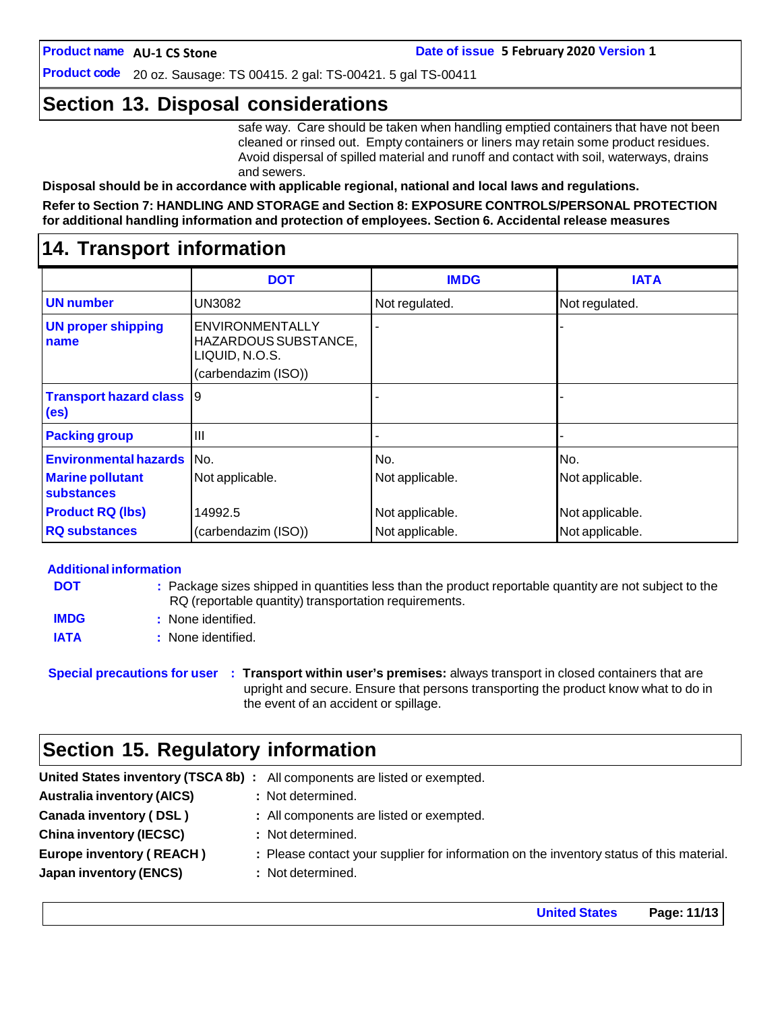**Product code** 20 oz. Sausage: TS 00415. 2 gal: TS-00421. 5 gal TS-00411

## **Section 13. Disposal considerations**

safe way. Care should be taken when handling emptied containers that have not been cleaned or rinsed out. Empty containers or liners may retain some product residues. Avoid dispersal of spilled material and runoff and contact with soil, waterways, drains and sewers.

**Disposal should be in accordance with applicable regional, national and local laws and regulations.**

#### **Refer to Section 7: HANDLING AND STORAGE and Section 8: EXPOSURE CONTROLS/PERSONAL PROTECTION for additional handling information and protection of employees. Section 6. Accidental release measures**

## **14. Transport information**

|                                                      | <b>DOT</b>                                                                       | <b>IMDG</b>     | <b>IATA</b>     |
|------------------------------------------------------|----------------------------------------------------------------------------------|-----------------|-----------------|
| <b>UN</b> number                                     | <b>UN3082</b>                                                                    | Not regulated.  | Not regulated.  |
| <b>UN proper shipping</b><br>name                    | ENVIRONMENTALLY<br>HAZARDOUS SUBSTANCE,<br>LIQUID, N.O.S.<br>(carbendazim (ISO)) |                 |                 |
| <b>Transport hazard class</b> 9<br>(e <sub>s</sub> ) |                                                                                  |                 |                 |
| <b>Packing group</b>                                 | Ш                                                                                |                 |                 |
| <b>Environmental hazards</b>                         | IN <sub>O</sub>                                                                  | No.             | No.             |
| <b>Marine pollutant</b><br>substances                | Not applicable.                                                                  | Not applicable. | Not applicable. |
| <b>Product RQ (lbs)</b>                              | 14992.5                                                                          | Not applicable. | Not applicable. |
| <b>RQ substances</b>                                 | (carbendazim (ISO))                                                              | Not applicable. | Not applicable. |

#### **Additional information**

| <b>DOT</b>  | : Package sizes shipped in quantities less than the product reportable quantity are not subject to the<br>RQ (reportable quantity) transportation requirements. |
|-------------|-----------------------------------------------------------------------------------------------------------------------------------------------------------------|
| <b>IMDG</b> | : None identified.                                                                                                                                              |
| <b>IATA</b> | : None identified.                                                                                                                                              |

**Special precautions for user : Transport within user's premises:** always transport in closed containers that are upright and secure. Ensure that persons transporting the product know what to do in the event of an accident or spillage.

## **Section 15. Regulatory information**

|                                   | United States inventory (TSCA 8b) : All components are listed or exempted.               |
|-----------------------------------|------------------------------------------------------------------------------------------|
| <b>Australia inventory (AICS)</b> | : Not determined.                                                                        |
| Canada inventory (DSL)            | : All components are listed or exempted.                                                 |
| <b>China inventory (IECSC)</b>    | : Not determined.                                                                        |
| <b>Europe inventory (REACH)</b>   | : Please contact your supplier for information on the inventory status of this material. |
| <b>Japan inventory (ENCS)</b>     | : Not determined.                                                                        |
|                                   |                                                                                          |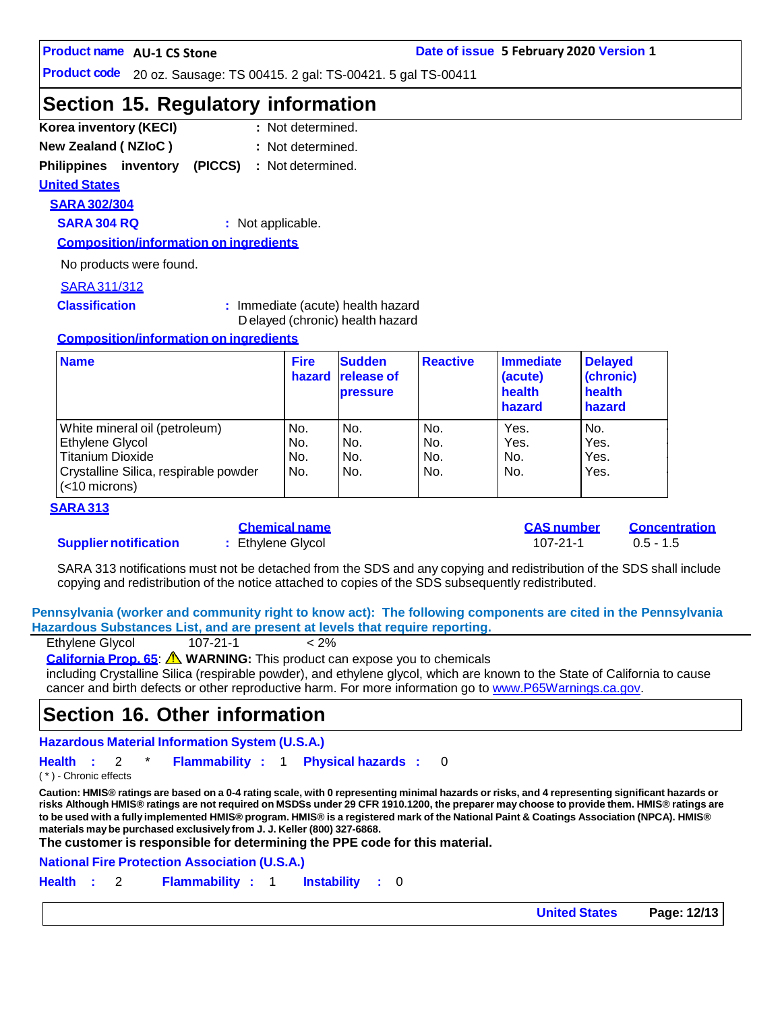**Product code** 20 oz. Sausage: TS 00415. 2 gal: TS-00421. 5 gal TS-00411

## **Section 15. Regulatory information**

- **Korea inventory (KECI) : New Zealand ( NZIoC ) :** : Not determined.
- : Not determined.
- **Philippines inventory (PICCS) :** Not determined.

#### **United States**

**SARA 302/304**

**SARA 304 RQ :** Not applicable.

**Composition/information on ingredients**

No products were found.

#### SARA311/312

**Classification :** Immediate (acute) health hazard D elayed (chronic) health hazard

#### **Composition/information on ingredients**

| <b>Name</b>                                               | <b>Fire</b><br>hazard | <b>Sudden</b><br><b>release of</b><br><b>pressure</b> | <b>Reactive</b> | Immediate<br>(acute)<br>health<br>hazard | <b>Delayed</b><br>(chronic)<br>health<br>hazard |
|-----------------------------------------------------------|-----------------------|-------------------------------------------------------|-----------------|------------------------------------------|-------------------------------------------------|
| White mineral oil (petroleum)                             | No.                   | No.                                                   | No.             | Yes.                                     | No.                                             |
| Ethylene Glycol                                           | No.                   | No.                                                   | No.             | Yes.                                     | Yes.                                            |
| <b>Titanium Dioxide</b>                                   | No.                   | No.                                                   | No.             | No.                                      | Yes.                                            |
| Crystalline Silica, respirable powder<br>$(<$ 10 microns) | No.                   | No.                                                   | No.             | No.                                      | Yes.                                            |

#### **SARA 313**

#### **Supplier notification :** Ethylene Glycol 107-21-1 0.5 - 1.5

| Chemical name   |  |  |
|-----------------|--|--|
| Ethylene Glycol |  |  |

**Chemical name CAS number Concentration**

SARA 313 notifications must not be detached from the SDS and any copying and redistribution of the SDS shall include copying and redistribution of the notice attached to copies of the SDS subsequently redistributed.

**Pennsylvania (worker and community right to know act): The following components are cited in the Pennsylvania Hazardous Substances List, and are present at levels that require reporting.**

| Ethylene Glycol | $107 - 21 - 1$ | $< 2\%$ |
|-----------------|----------------|---------|
|                 |                |         |

**California Prop. 65**: **WARNING:** This product can expose you to chemicals

including Crystalline Silica (respirable powder), and ethylene glycol, which are known to the State of California to cause cancer and birth defects or other reproductive harm. For more information go to [www.P65Warnings.ca.gov.](http://www.p65warnings.ca.gov/)

## **Section 16. Other information**

**Hazardous Material Information System (U.S.A.)**

**Health :** 2 \* **Flammability :** 1 **Physical hazards :** 0

( \* ) - Chronic effects

Caution: HMIS® ratings are based on a 0-4 rating scale, with 0 representing minimal hazards or risks, and 4 representing significant hazards or risks Although HMIS® ratings are not required on MSDSs under 29 CFR 1910.1200, the preparer may choose to provide them. HMIS® ratings are to be used with a fully implemented HMIS® program. HMIS® is a registered mark of the National Paint & Coatings Association (NPCA). HMIS® **materials maybe purchased exclusively from J. J. Keller (800) 327-6868.**

**The customer is responsible for determining the PPE code for this material.**

**National Fire Protection Association (U.S.A.)**

**Health :** 2 **Flammability :** 1 **Instability :** 0

**United States Page: 12/13**